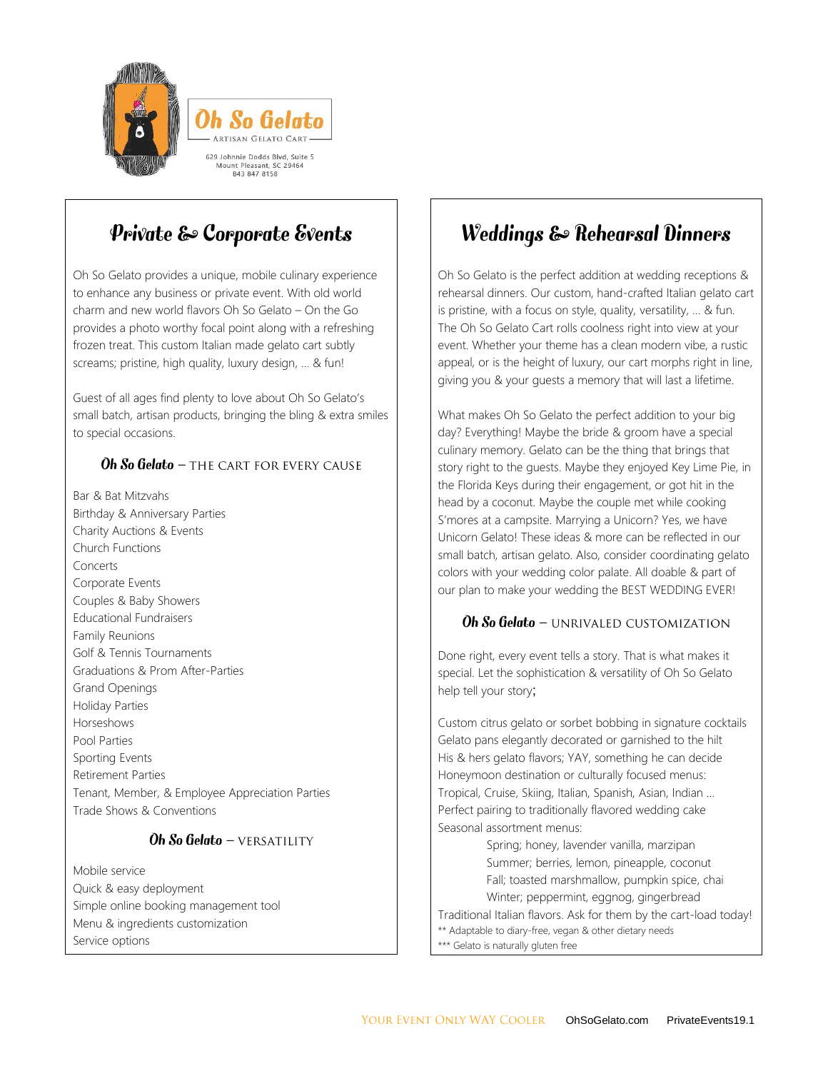



# Private & Corporate Events

Oh So Gelato provides a unique, mobile culinary experience to enhance any business or private event. With old world charm and new world flavors Oh So Gelato – On the Go provides a photo worthy focal point along with a refreshing frozen treat. This custom Italian made gelato cart subtly screams; pristine, high quality, luxury design, … & fun!

Guest of all ages find plenty to love about Oh So Gelato's small batch, artisan products, bringing the bling & extra smiles to special occasions.

### $\overline{Ob}$  So Gelato – THE CART FOR EVERY CAUSE

Bar & Bat Mitzvahs Birthday & Anniversary Parties Charity Auctions & Events Church Functions Concerts Corporate Events Couples & Baby Showers Educational Fundraisers Family Reunions Golf & Tennis Tournaments Graduations & Prom After-Parties Grand Openings Holiday Parties Horseshows Pool Parties Sporting Events Retirement Parties Tenant, Member, & Employee Appreciation Parties Trade Shows & Conventions

#### Oh So Gelato - VERSATILITY

Mobile service Quick & easy deployment Simple online booking management tool Menu & ingredients customization Service options

# Weddings & Rehearsal Dinners

Oh So Gelato is the perfect addition at wedding receptions & rehearsal dinners. Our custom, hand-crafted Italian gelato cart is pristine, with a focus on style, quality, versatility, … & fun. The Oh So Gelato Cart rolls coolness right into view at your event. Whether your theme has a clean modern vibe, a rustic appeal, or is the height of luxury, our cart morphs right in line, giving you & your guests a memory that will last a lifetime.

What makes Oh So Gelato the perfect addition to your big day? Everything! Maybe the bride & groom have a special culinary memory. Gelato can be the thing that brings that story right to the guests. Maybe they enjoyed Key Lime Pie, in the Florida Keys during their engagement, or got hit in the head by a coconut. Maybe the couple met while cooking S'mores at a campsite. Marrying a Unicorn? Yes, we have Unicorn Gelato! These ideas & more can be reflected in our small batch, artisan gelato. Also, consider coordinating gelato colors with your wedding color palate. All doable & part of our plan to make your wedding the BEST WEDDING EVER!

#### Oh So Gelato - UNRIVALED CUSTOMIZATION

Done right, every event tells a story. That is what makes it special. Let the sophistication & versatility of Oh So Gelato help tell your story;

Custom citrus gelato or sorbet bobbing in signature cocktails Gelato pans elegantly decorated or garnished to the hilt His & hers gelato flavors; YAY, something he can decide Honeymoon destination or culturally focused menus: Tropical, Cruise, Skiing, Italian, Spanish, Asian, Indian … Perfect pairing to traditionally flavored wedding cake Seasonal assortment menus:

Spring; honey, lavender vanilla, marzipan Summer; berries, lemon, pineapple, coconut Fall; toasted marshmallow, pumpkin spice, chai Winter; peppermint, eggnog, gingerbread Traditional Italian flavors. Ask for them by the cart-load today! \*\* Adaptable to diary-free, vegan & other dietary needs \*\*\* Gelato is naturally gluten free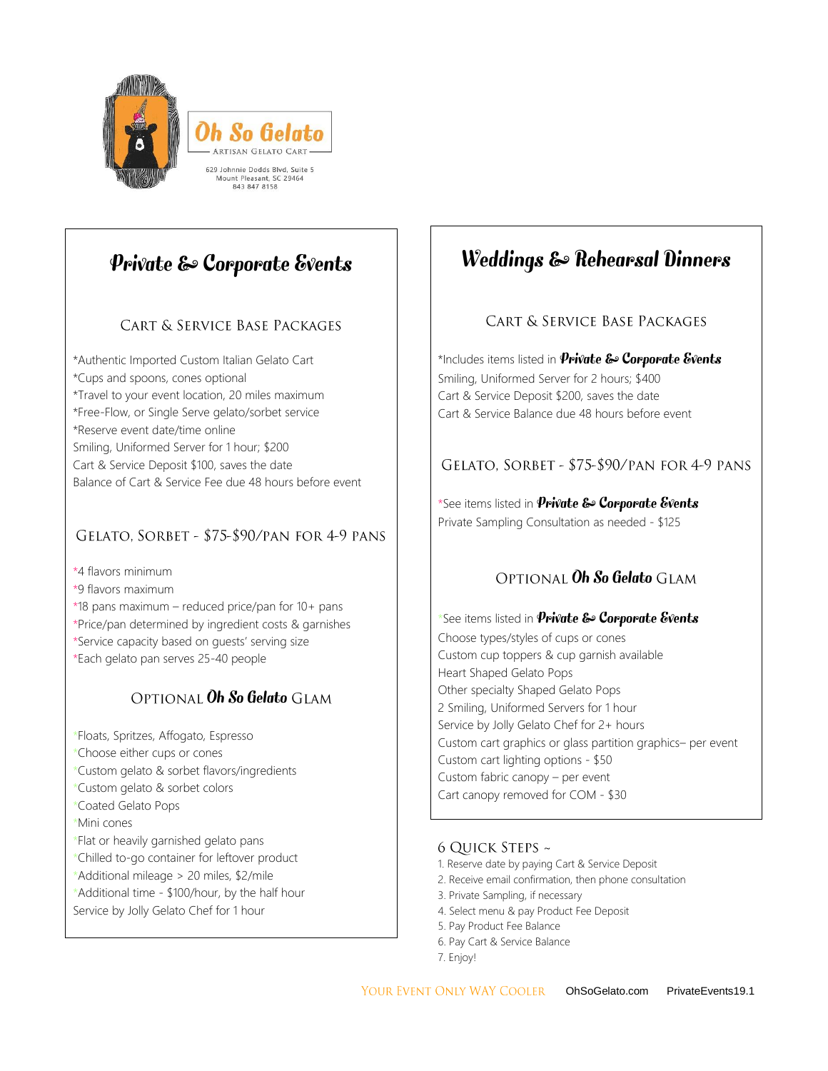

# Private & Corporate Events

# **CART & SERVICE BASE PACKAGES**

\*Authentic Imported Custom Italian Gelato Cart \*Cups and spoons, cones optional \*Travel to your event location, 20 miles maximum \*Free-Flow, or Single Serve gelato/sorbet service \*Reserve event date/time online Smiling, Uniformed Server for 1 hour; \$200 Cart & Service Deposit \$100, saves the date Balance of Cart & Service Fee due 48 hours before event

### GELATO, SORBET - \$75-\$90/PAN FOR 4-9 PANS

\*4 flavors minimum

- \*9 flavors maximum
- \*18 pans maximum reduced price/pan for 10+ pans
- \*Price/pan determined by ingredient costs & garnishes
- \*Service capacity based on guests' serving size
- \*Each gelato pan serves 25-40 people

# OPTIONAL Oh So Gelato GLAM

- \*Floats, Spritzes, Affogato, Espresso
- \*Choose either cups or cones
- \*Custom gelato & sorbet flavors/ingredients
- \*Custom gelato & sorbet colors
- \*Coated Gelato Pops
- \*Mini cones
- \*Flat or heavily garnished gelato pans
- \*Chilled to-go container for leftover product
- \*Additional mileage > 20 miles, \$2/mile
- \*Additional time \$100/hour, by the half hour Service by Jolly Gelato Chef for 1 hour

# Weddings & Rehearsal Dinners

# CART & SERVICE BASE PACKAGES

\*Includes items listed in  $$ Smiling, Uniformed Server for 2 hours; \$400 Cart & Service Deposit \$200, saves the date Cart & Service Balance due 48 hours before event

## GELATO. SORBET - \$75-\$90/PAN FOR 4-9 PANS

\*See items listed in **Private & Corporate Events** Private Sampling Consultation as needed - \$125

# OPTIONAL Oh So Gelato GLAM

\*See items listed in **Private & Corporate Events** Choose types/styles of cups or cones Custom cup toppers & cup garnish available Heart Shaped Gelato Pops Other specialty Shaped Gelato Pops 2 Smiling, Uniformed Servers for 1 hour Service by Jolly Gelato Chef for 2+ hours Custom cart graphics or glass partition graphics– per event Custom cart lighting options - \$50 Custom fabric canopy – per event Cart canopy removed for COM - \$30

### 6 QUICK STEPS ~

- 1. Reserve date by paying Cart & Service Deposit
- 2. Receive email confirmation, then phone consultation
- 3. Private Sampling, if necessary
- 4. Select menu & pay Product Fee Deposit
- 5. Pay Product Fee Balance
- 6. Pay Cart & Service Balance
- 7. Enjoy!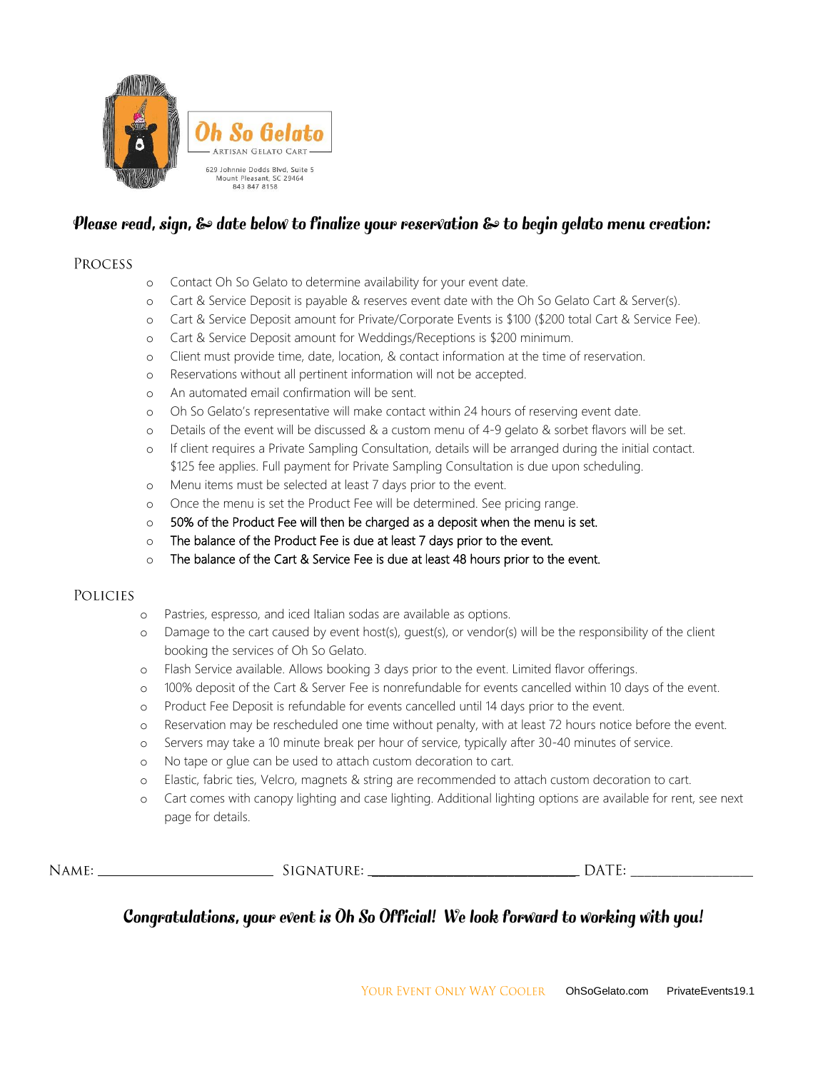

## Please read, sign, & date below to finalize your reservation & to begin gelato menu creation:

#### **PROCESS**

- o Contact Oh So Gelato to determine availability for your event date.
- o Cart & Service Deposit is payable & reserves event date with the Oh So Gelato Cart & Server(s).
- o Cart & Service Deposit amount for Private/Corporate Events is \$100 (\$200 total Cart & Service Fee).
- o Cart & Service Deposit amount for Weddings/Receptions is \$200 minimum.
- o Client must provide time, date, location, & contact information at the time of reservation.
- o Reservations without all pertinent information will not be accepted.
- o An automated email confirmation will be sent.
- o Oh So Gelato's representative will make contact within 24 hours of reserving event date.
- o Details of the event will be discussed & a custom menu of 4-9 gelato & sorbet flavors will be set.
- o If client requires a Private Sampling Consultation, details will be arranged during the initial contact. \$125 fee applies. Full payment for Private Sampling Consultation is due upon scheduling.
- o Menu items must be selected at least 7 days prior to the event.
- o Once the menu is set the Product Fee will be determined. See pricing range.
- $\circ$  50% of the Product Fee will then be charged as a deposit when the menu is set.
- o The balance of the Product Fee is due at least 7 days prior to the event.
- o The balance of the Cart & Service Fee is due at least 48 hours prior to the event.

#### **POLICIES**

- o Pastries, espresso, and iced Italian sodas are available as options.
- o Damage to the cart caused by event host(s), guest(s), or vendor(s) will be the responsibility of the client booking the services of Oh So Gelato.
- o Flash Service available. Allows booking 3 days prior to the event. Limited flavor offerings.
- o 100% deposit of the Cart & Server Fee is nonrefundable for events cancelled within 10 days of the event.
- o Product Fee Deposit is refundable for events cancelled until 14 days prior to the event.
- o Reservation may be rescheduled one time without penalty, with at least 72 hours notice before the event.
- o Servers may take a 10 minute break per hour of service, typically after 30-40 minutes of service.
- o No tape or glue can be used to attach custom decoration to cart.
- o Elastic, fabric ties, Velcro, magnets & string are recommended to attach custom decoration to cart.
- o Cart comes with canopy lighting and case lighting. Additional lighting options are available for rent, see next page for details.

| NAME: | TURE<br>$\cdot$ I $\cap$ <sup>-</sup><br>,IGNA | $-$<br>ЭA<br>-<br>. |
|-------|------------------------------------------------|---------------------|
|-------|------------------------------------------------|---------------------|

# Congratulations, your event is Oh So Official! We look forward to working with you!